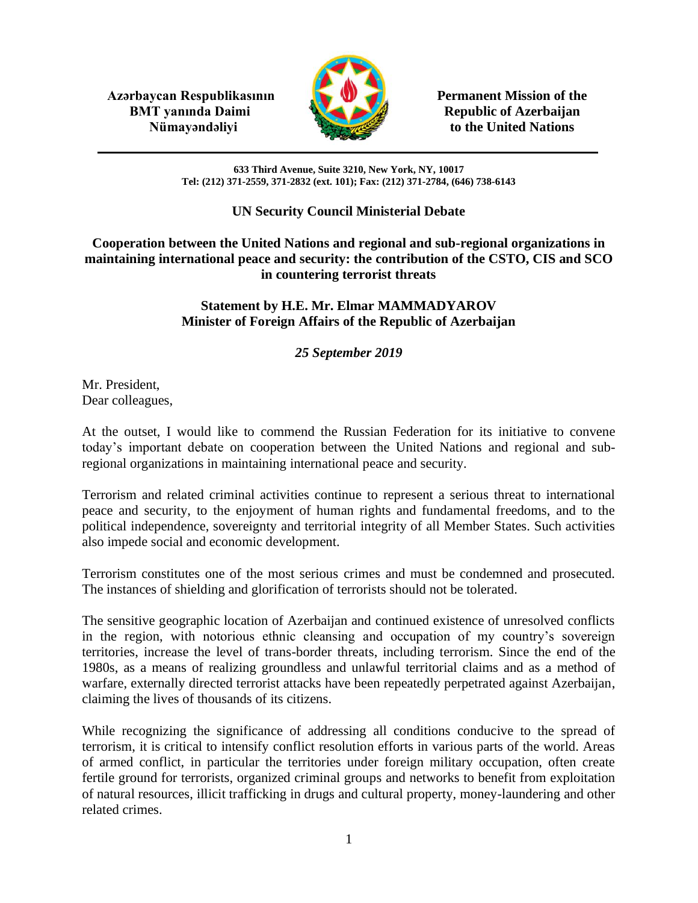**Azərbaycan Respublikasının Permanent Mission of the BMT yanında Daimi Republic of Azerbaijan** 



**Nümayəndəliyi** to the United Nations

**633 Third Avenue, Suite 3210, New York, NY, 10017 Tel: (212) 371-2559, 371-2832 (ext. 101); Fax: (212) 371-2784, (646) 738-6143**

## **UN Security Council Ministerial Debate**

**Cooperation between the United Nations and regional and sub-regional organizations in maintaining international peace and security: the contribution of the CSTO, CIS and SCO in countering terrorist threats**

## **Statement by H.E. Mr. Elmar MAMMADYAROV Minister of Foreign Affairs of the Republic of Azerbaijan**

## *25 September 2019*

Mr. President, Dear colleagues,

At the outset, I would like to commend the Russian Federation for its initiative to convene today's important debate on cooperation between the United Nations and regional and subregional organizations in maintaining international peace and security.

Terrorism and related criminal activities continue to represent a serious threat to international peace and security, to the enjoyment of human rights and fundamental freedoms, and to the political independence, sovereignty and territorial integrity of all Member States. Such activities also impede social and economic development.

Terrorism constitutes one of the most serious crimes and must be condemned and prosecuted. The instances of shielding and glorification of terrorists should not be tolerated.

The sensitive geographic location of Azerbaijan and continued existence of unresolved conflicts in the region, with notorious ethnic cleansing and occupation of my country's sovereign territories, increase the level of trans-border threats, including terrorism. Since the end of the 1980s, as a means of realizing groundless and unlawful territorial claims and as a method of warfare, externally directed terrorist attacks have been repeatedly perpetrated against Azerbaijan, claiming the lives of thousands of its citizens.

While recognizing the significance of addressing all conditions conducive to the spread of terrorism, it is critical to intensify conflict resolution efforts in various parts of the world. Areas of armed conflict, in particular the territories under foreign military occupation, often create fertile ground for terrorists, organized criminal groups and networks to benefit from exploitation of natural resources, illicit trafficking in drugs and cultural property, money-laundering and other related crimes.